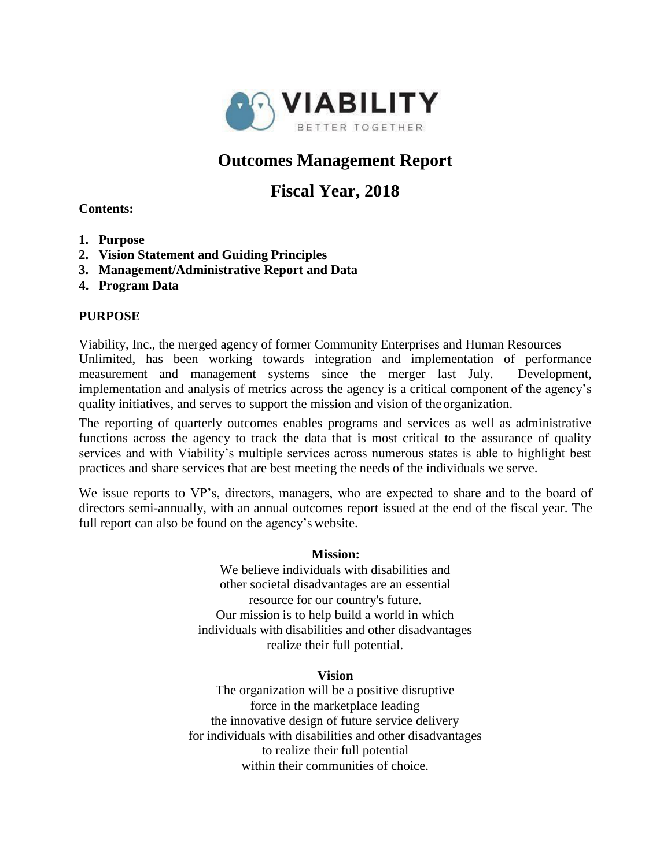

# **Outcomes Management Report**

# **Fiscal Year, 2018**

## **Contents:**

- **1. Purpose**
- **2. Vision Statement and Guiding Principles**
- **3. Management/Administrative Report and Data**
- **4. Program Data**

## **PURPOSE**

Viability, Inc., the merged agency of former Community Enterprises and Human Resources Unlimited, has been working towards integration and implementation of performance measurement and management systems since the merger last July. Development, implementation and analysis of metrics across the agency is a critical component of the agency's quality initiatives, and serves to support the mission and vision of the organization.

The reporting of quarterly outcomes enables programs and services as well as administrative functions across the agency to track the data that is most critical to the assurance of quality services and with Viability's multiple services across numerous states is able to highlight best practices and share services that are best meeting the needs of the individuals we serve.

We issue reports to VP's, directors, managers, who are expected to share and to the board of directors semi-annually, with an annual outcomes report issued at the end of the fiscal year. The full report can also be found on the agency's website.

#### **Mission:**

We believe individuals with disabilities and other societal disadvantages are an essential resource for our country's future. Our mission is to help build a world in which individuals with disabilities and other disadvantages realize their full potential.

#### **Vision**

The organization will be a positive disruptive force in the marketplace leading the innovative design of future service delivery for individuals with disabilities and other disadvantages to realize their full potential within their communities of choice.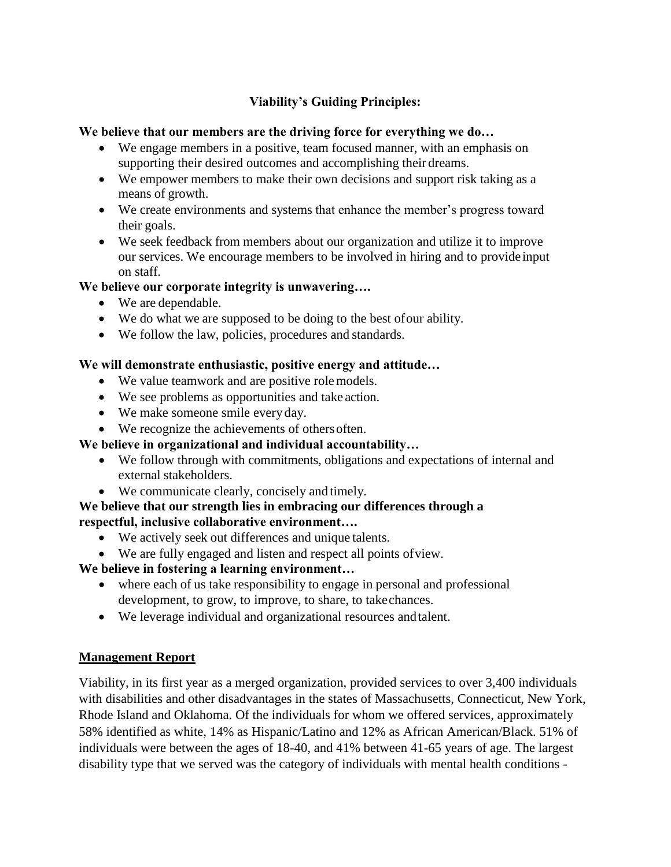# **Viability's Guiding Principles:**

## **We believe that our members are the driving force for everything we do…**

- We engage members in a positive, team focused manner, with an emphasis on supporting their desired outcomes and accomplishing their dreams.
- We empower members to make their own decisions and support risk taking as a means of growth.
- We create environments and systems that enhance the member's progress toward their goals.
- We seek feedback from members about our organization and utilize it to improve our services. We encourage members to be involved in hiring and to provide input on staff.

## **We believe our corporate integrity is unwavering….**

- We are dependable.
- We do what we are supposed to be doing to the best ofour ability.
- We follow the law, policies, procedures and standards.

# **We will demonstrate enthusiastic, positive energy and attitude…**

- We value teamwork and are positive rolemodels.
- We see problems as opportunities and take action.
- We make someone smile every day.
- We recognize the achievements of othersoften.

# **We believe in organizational and individual accountability…**

- We follow through with commitments, obligations and expectations of internal and external stakeholders.
- We communicate clearly, concisely and timely.

# **We believe that our strength lies in embracing our differences through a respectful, inclusive collaborative environment….**

- We actively seek out differences and unique talents.
- We are fully engaged and listen and respect all points ofview.

# **We believe in fostering a learning environment…**

- where each of us take responsibility to engage in personal and professional development, to grow, to improve, to share, to takechances.
- We leverage individual and organizational resources andtalent.

## **Management Report**

Viability, in its first year as a merged organization, provided services to over 3,400 individuals with disabilities and other disadvantages in the states of Massachusetts, Connecticut, New York, Rhode Island and Oklahoma. Of the individuals for whom we offered services, approximately 58% identified as white, 14% as Hispanic/Latino and 12% as African American/Black. 51% of individuals were between the ages of 18-40, and 41% between 41-65 years of age. The largest disability type that we served was the category of individuals with mental health conditions -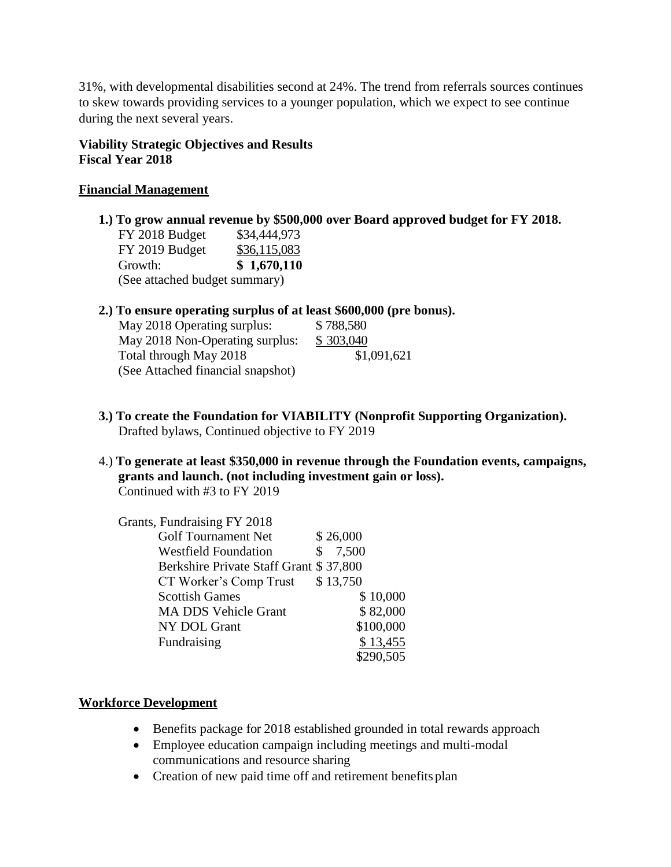31%, with developmental disabilities second at 24%. The trend from referrals sources continues to skew towards providing services to a younger population, which we expect to see continue during the next several years.

## **Viability Strategic Objectives and Results Fiscal Year 2018**

## **Financial Management**

**1.) To grow annual revenue by \$500,000 over Board approved budget for FY 2018.** FY 2018 Budget \$34,444,973 FY 2019 Budget \$36,115,083

Growth: **\$ 1,670,110** (See attached budget summary)

#### **2.) To ensure operating surplus of at least \$600,000 (pre bonus).**

| \$788,580   |
|-------------|
| \$303,040   |
| \$1,091,621 |
|             |
|             |

- **3.) To create the Foundation for VIABILITY (Nonprofit Supporting Organization).** Drafted bylaws, Continued objective to FY 2019
- 4.) **To generate at least \$350,000 in revenue through the Foundation events, campaigns, grants and launch. (not including investment gain or loss).** Continued with #3 to FY 2019

| Grants, Fundraising FY 2018            |             |
|----------------------------------------|-------------|
| <b>Golf Tournament Net</b>             | \$26,000    |
| <b>Westfield Foundation</b>            | \$<br>7,500 |
| Berkshire Private Staff Grant \$37,800 |             |
| CT Worker's Comp Trust                 | \$13,750    |
| <b>Scottish Games</b>                  | \$10,000    |
| <b>MA DDS Vehicle Grant</b>            | \$82,000    |
| NY DOL Grant                           | \$100,000   |
| Fundraising                            | \$13,455    |
|                                        | \$290,505   |

## **Workforce Development**

- Benefits package for 2018 established grounded in total rewards approach
- Employee education campaign including meetings and multi-modal communications and resource sharing
- Creation of new paid time off and retirement benefits plan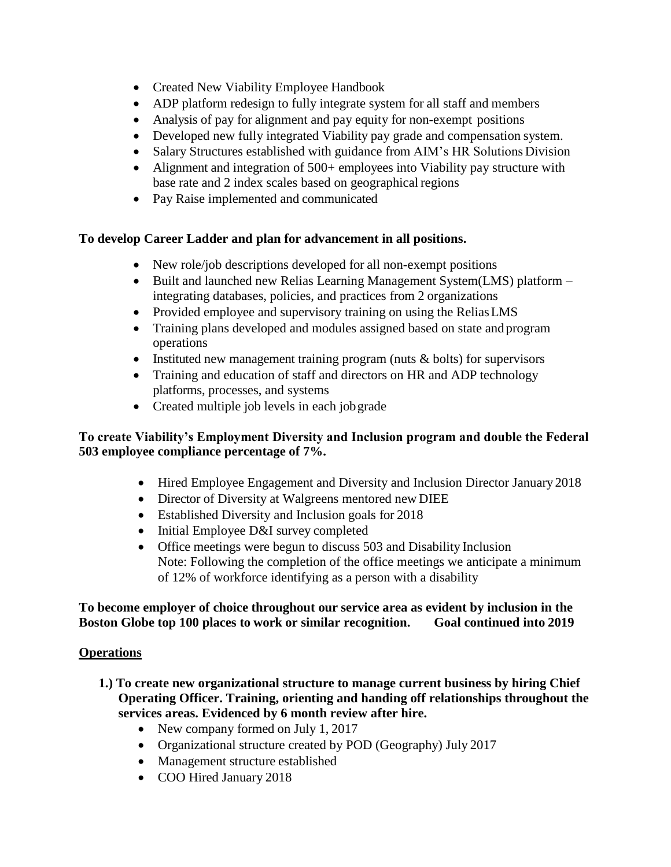- Created New Viability Employee Handbook
- ADP platform redesign to fully integrate system for all staff and members
- Analysis of pay for alignment and pay equity for non-exempt positions
- Developed new fully integrated Viability pay grade and compensation system.
- Salary Structures established with guidance from AIM's HR Solutions Division
- Alignment and integration of 500+ employees into Viability pay structure with base rate and 2 index scales based on geographical regions
- Pay Raise implemented and communicated

# **To develop Career Ladder and plan for advancement in all positions.**

- New role/job descriptions developed for all non-exempt positions
- Built and launched new Relias Learning Management System(LMS) platform integrating databases, policies, and practices from 2 organizations
- Provided employee and supervisory training on using the Relias LMS
- Training plans developed and modules assigned based on state and program operations
- Instituted new management training program (nuts  $&$  bolts) for supervisors
- Training and education of staff and directors on HR and ADP technology platforms, processes, and systems
- Created multiple job levels in each job grade

# **To create Viability's Employment Diversity and Inclusion program and double the Federal 503 employee compliance percentage of 7%.**

- Hired Employee Engagement and Diversity and Inclusion Director January 2018
- Director of Diversity at Walgreens mentored new DIEE
- Established Diversity and Inclusion goals for 2018
- Initial Employee D&I survey completed
- Office meetings were begun to discuss 503 and Disability Inclusion Note: Following the completion of the office meetings we anticipate a minimum of 12% of workforce identifying as a person with a disability

## **To become employer of choice throughout our service area as evident by inclusion in the Boston Globe top 100 places to work or similar recognition. Goal continued into 2019**

# **Operations**

- **1.) To create new organizational structure to manage current business by hiring Chief Operating Officer. Training, orienting and handing off relationships throughout the services areas. Evidenced by 6 month review after hire.**
	- New company formed on July 1, 2017
	- Organizational structure created by POD (Geography) July 2017
	- Management structure established
	- COO Hired January 2018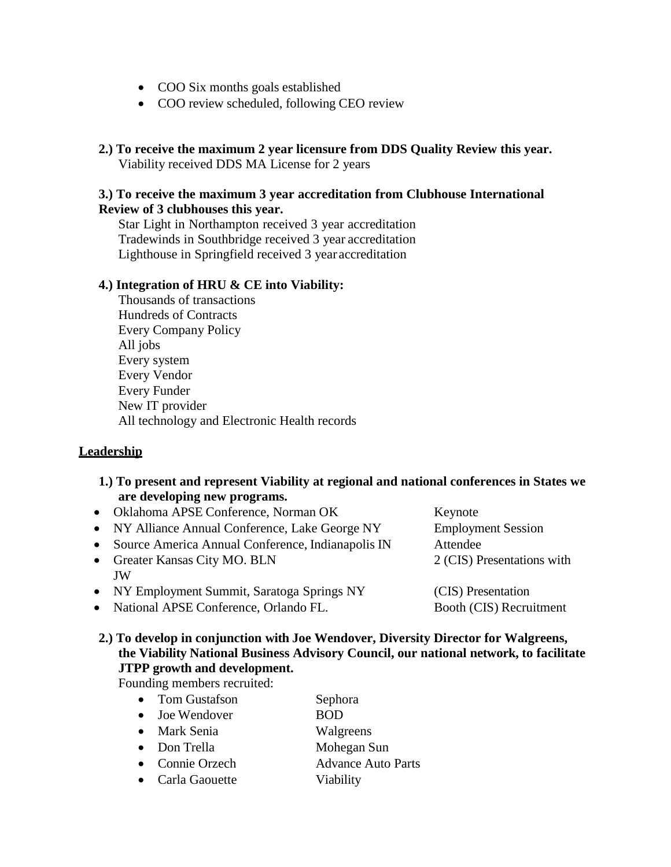- COO Six months goals established
- COO review scheduled, following CEO review
- **2.) To receive the maximum 2 year licensure from DDS Quality Review this year.** Viability received DDS MA License for 2 years

#### **3.) To receive the maximum 3 year accreditation from Clubhouse International Review of 3 clubhouses this year.**

Star Light in Northampton received 3 year accreditation Tradewinds in Southbridge received 3 year accreditation Lighthouse in Springfield received 3 year accreditation

#### **4.) Integration of HRU & CE into Viability:**

Thousands of transactions Hundreds of Contracts Every Company Policy All jobs Every system Every Vendor Every Funder New IT provider All technology and Electronic Health records

#### **Leadership**

- **1.) To present and represent Viability at regional and national conferences in States we are developing new programs.**
- Oklahoma APSE Conference, Norman OK Keynote • NY Alliance Annual Conference, Lake George NY Employment Session Source America Annual Conference, Indianapolis IN Attendee • Greater Kansas City MO. BLN 2 (CIS) Presentations with JW • NY Employment Summit, Saratoga Springs NY (CIS) Presentation
- National APSE Conference, Orlando FL. Booth (CIS) Recruitment

**2.) To develop in conjunction with Joe Wendover, Diversity Director for Walgreens, the Viability National Business Advisory Council, our national network, to facilitate JTPP growth and development.**

Founding members recruited:

- Tom Gustafson Sephora • Joe Wendover BOD
- Mark Senia Walgreens
- Don Trella Mohegan Sun
- Connie Orzech Advance Auto Parts
- 
- Carla Gaouette Viability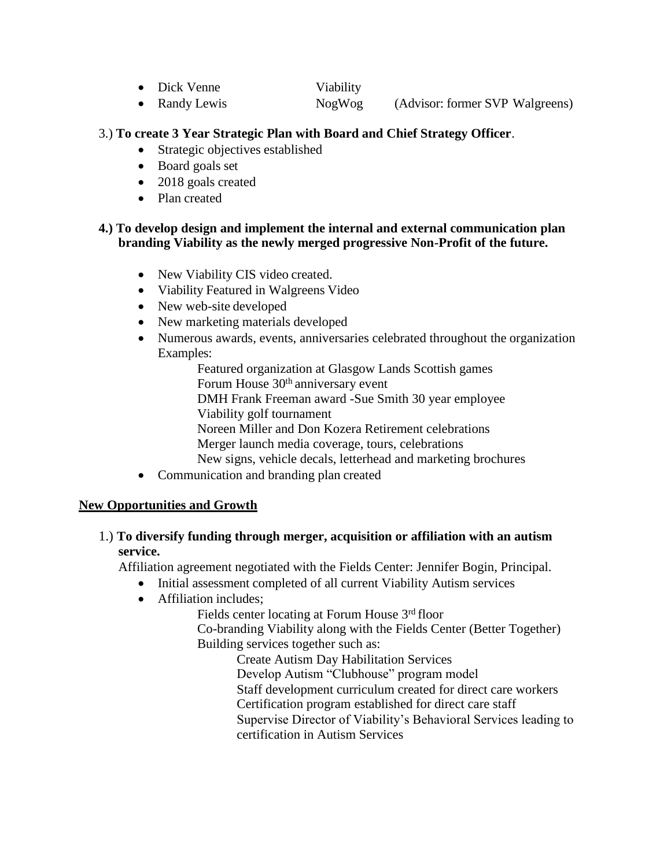| $\bullet$ Dick Venne | Viability |                                 |  |
|----------------------|-----------|---------------------------------|--|
| Randy Lewis          | NogWog    | (Advisor: former SVP Walgreens) |  |

#### 3.) **To create 3 Year Strategic Plan with Board and Chief Strategy Officer**.

- Strategic objectives established
- Board goals set
- 2018 goals created
- Plan created

#### **4.) To develop design and implement the internal and external communication plan branding Viability as the newly merged progressive Non-Profit of the future.**

- New Viability CIS video created.
- Viability Featured in Walgreens Video
- New web-site developed
- New marketing materials developed
- Numerous awards, events, anniversaries celebrated throughout the organization Examples:

Featured organization at Glasgow Lands Scottish games Forum House 30th anniversary event

DMH Frank Freeman award -Sue Smith 30 year employee

Viability golf tournament

Noreen Miller and Don Kozera Retirement celebrations

Merger launch media coverage, tours, celebrations

New signs, vehicle decals, letterhead and marketing brochures

• Communication and branding plan created

#### **New Opportunities and Growth**

1.) **To diversify funding through merger, acquisition or affiliation with an autism service.**

Affiliation agreement negotiated with the Fields Center: Jennifer Bogin, Principal.

- Initial assessment completed of all current Viability Autism services
- Affiliation includes;

Fields center locating at Forum House 3rd floor

Co-branding Viability along with the Fields Center (Better Together) Building services together such as:

Create Autism Day Habilitation Services Develop Autism "Clubhouse" program model Staff development curriculum created for direct care workers Certification program established for direct care staff Supervise Director of Viability's Behavioral Services leading to certification in Autism Services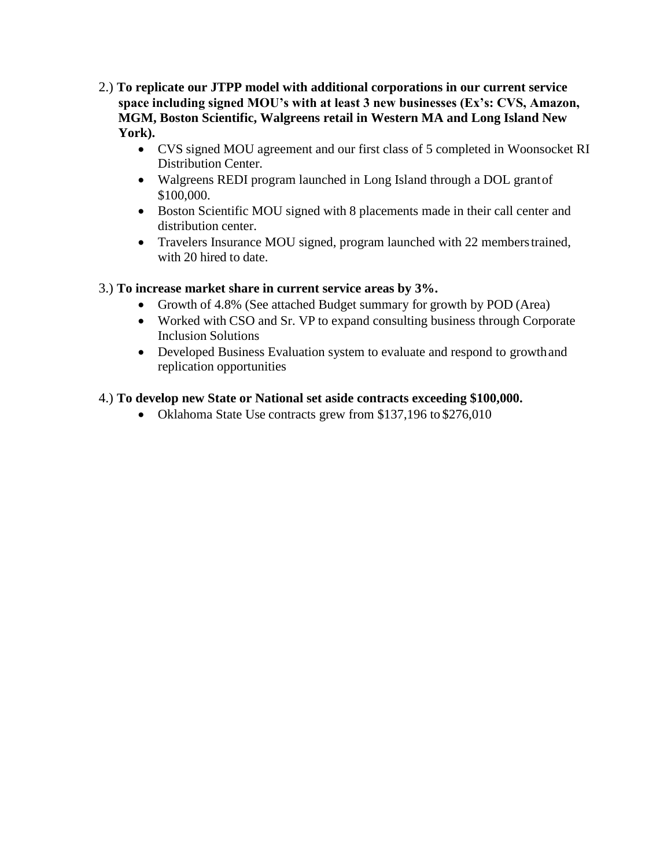- 2.) **To replicate our JTPP model with additional corporations in our current service space including signed MOU's with at least 3 new businesses (Ex's: CVS, Amazon, MGM, Boston Scientific, Walgreens retail in Western MA and Long Island New York).**
	- CVS signed MOU agreement and our first class of 5 completed in Woonsocket RI Distribution Center.
	- Walgreens REDI program launched in Long Island through a DOL grantof \$100,000.
	- Boston Scientific MOU signed with 8 placements made in their call center and distribution center.
	- Travelers Insurance MOU signed, program launched with 22 members trained, with 20 hired to date.

## 3.) **To increase market share in current service areas by 3%.**

- Growth of 4.8% (See attached Budget summary for growth by POD (Area)
- Worked with CSO and Sr. VP to expand consulting business through Corporate Inclusion Solutions
- Developed Business Evaluation system to evaluate and respond to growthand replication opportunities

# 4.) **To develop new State or National set aside contracts exceeding \$100,000.**

• Oklahoma State Use contracts grew from \$137,196 to \$276,010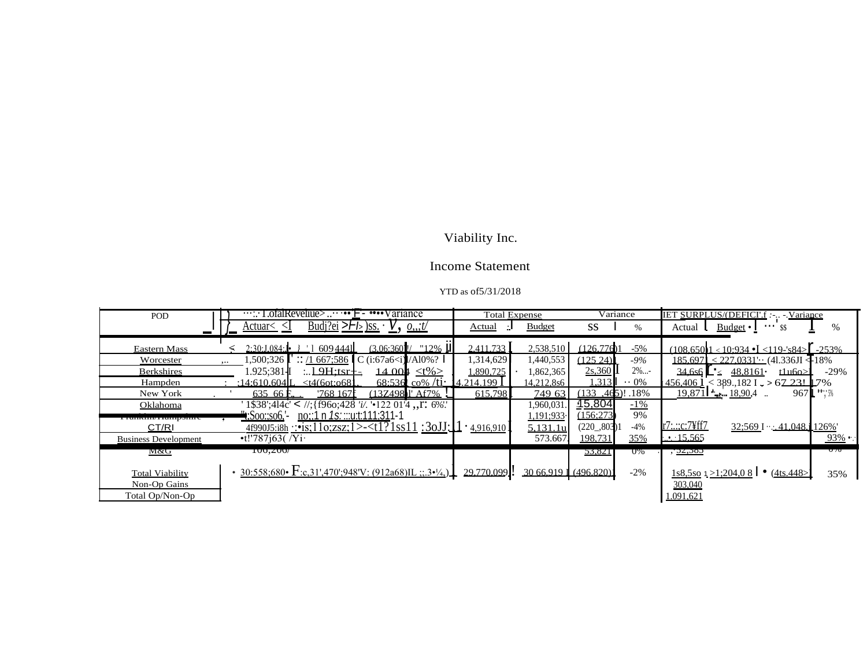# Viability Inc.

# Income Statement

#### YTD as of5/31/2018

| POD                         | $\cdots$ : LotalRevellue> ••• F - •••• Variance                                                                     | <b>Total Expense</b>           | Variance                  | IET SURPLUS/(DEFICI'.f : - - Variance                              |
|-----------------------------|---------------------------------------------------------------------------------------------------------------------|--------------------------------|---------------------------|--------------------------------------------------------------------|
|                             | <u>Budi'ei &gt; <math>F_b</math> )ss.</u><br>$\underline{V}$ , <u>0:t/</u><br><u>Actuar&lt;_<l< u=""></l<></u>      | <b>Budget</b><br><u>Actual</u> | <b>SS</b><br>$\%$         | <u>Budget</u> $\cdot$   $\cdot \cdot \cdot$ \$\$<br>$\%$<br>Actual |
|                             |                                                                                                                     |                                |                           |                                                                    |
|                             |                                                                                                                     |                                |                           |                                                                    |
| Eastern Mass                | $(3.06:360)$ $\mid$ $\mid$ $\mid$ 12% II<br>2:30:1.084:1<br>6094441                                                 | 2.411.733<br>2,538,510         | (126.776)1<br>$-5\%$      | $(108.65011 < 10.934 \cdot L < 119 - 884)$ - 253%                  |
| Worcester                   | 1,500;326<br>$\therefore$ /1 667;586 C (i:67a6 <i) al0%?<br=""><math>\ddotsc</math></i)>                            | 1,314,629<br>1,440,553         | (125, 24)<br>$-9\%$       | $185.697 \le 227.0331$ (41.336JI <18%)                             |
| <b>Berkshires</b>           | 1.925:381 <b>-l</b><br>$19H$ :tsr $+$<br>14.004 $lt\frac{1}{6}$                                                     | .890.725<br>1,862,365          | 2s.360<br>$2\%$           | $34,656$ $\leq 48,8161$<br>$-29%$<br>t⊥u6o>l                       |
| Hampden                     | $68:536$ co% /ti $-4.214.199$ .<br>:14:610.604L<br>$<$ t4(6ot:0681                                                  | 14,212,8s6                     | .313<br>$\cdot \cdot 0\%$ | $1456,406$ 1 < 389.,182 I $\sim$ > 67.231 L7%                      |
| New York                    | $(137498)$ <sup><math>\degree</math></sup> Af7%<br>635 66 F<br>'768~167f                                            | 749 63<br>615.798              | $(133, 465)!$ . 18%       | $967L$ $**$<br>$19.8711$ $- 18.904$ .                              |
| Oklahoma                    | 1\\$38':414c' < //:{f96o:428 'i/. '.122 01'4 \.\pm. 6%'.                                                            | 1,960,031                      | 15,804<br>$-1\%$          |                                                                    |
|                             | <u>no::1 n 1s::::u:t:111:31</u> 1-1<br><b>t</b> ;Soo:;so6,'-                                                        | 1,191;933                      | 9%<br>(156:273)           |                                                                    |
| CT/RI                       | 4f990J5:i8h ::•is:11o:zsz:1>- <t1?1ss11 :3ojj:<math="">\Box \cdot4.916.910]</t1?1ss11>                              | 5,131.1u                       | $-4%$<br>(220, 803)       | r7:.:;c:7\ff7<br>$32:569$ I $\cdot$ 41.048.1126%                   |
| <b>Business Development</b> | $-t!$ '787 $i$ 63(/Yi·                                                                                              | 573.667                        | 198,731<br>35%            | $\cdot$ $\cdot$ 15.565<br>$93\%$ .                                 |
| M&G                         | 100,200/                                                                                                            |                                | 55,821<br>O%              | $\sigma v$<br><u>, 22:385</u>                                      |
|                             |                                                                                                                     |                                |                           |                                                                    |
| <b>Total Viability</b>      | • $30:558:680 \cdot \text{F}:c,31',470';948'V: (912a68)IL ::3 \cdot \frac{1}{4}$ $29.770,099$ . 30.66,919 (496.820) |                                | $-2\%$                    | $1s8,5s0$ $1 \ge 1$ ; 204, 0 8   $\bullet$ (4ts. 448 $>$ ]<br>35%  |
| Non-Op Gains                |                                                                                                                     |                                |                           | 303,040                                                            |
| Total Op/Non-Op             |                                                                                                                     |                                |                           | 1.091,621                                                          |
|                             |                                                                                                                     |                                |                           |                                                                    |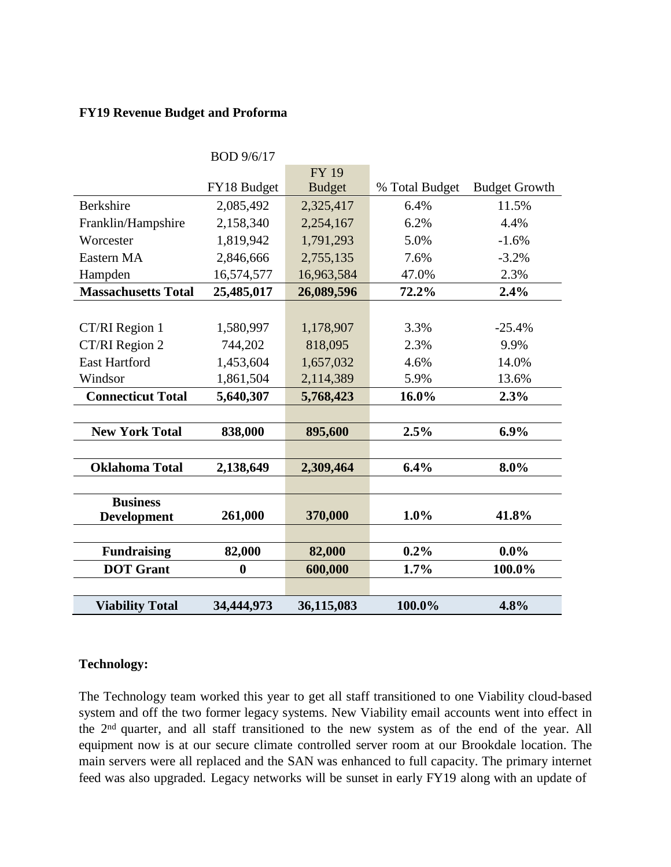#### **FY19 Revenue Budget and Proforma**

|                            | BOD 9/6/17       |               |                |                      |
|----------------------------|------------------|---------------|----------------|----------------------|
|                            |                  | <b>FY 19</b>  |                |                      |
|                            | FY18 Budget      | <b>Budget</b> | % Total Budget | <b>Budget Growth</b> |
| <b>Berkshire</b>           | 2,085,492        | 2,325,417     | 6.4%           | 11.5%                |
| Franklin/Hampshire         | 2,158,340        | 2,254,167     | 6.2%           | 4.4%                 |
| Worcester                  | 1,819,942        | 1,791,293     | 5.0%           | $-1.6%$              |
| Eastern MA                 | 2,846,666        | 2,755,135     | 7.6%           | $-3.2%$              |
| Hampden                    | 16,574,577       | 16,963,584    | 47.0%          | 2.3%                 |
| <b>Massachusetts Total</b> | 25,485,017       | 26,089,596    | 72.2%          | 2.4%                 |
|                            |                  |               |                |                      |
| CT/RI Region 1             | 1,580,997        | 1,178,907     | 3.3%           | $-25.4%$             |
| CT/RI Region 2             | 744,202          | 818,095       | 2.3%           | 9.9%                 |
| <b>East Hartford</b>       | 1,453,604        | 1,657,032     | 4.6%           | 14.0%                |
| Windsor                    | 1,861,504        | 2,114,389     | 5.9%           | 13.6%                |
| <b>Connecticut Total</b>   | 5,640,307        | 5,768,423     | 16.0%          | 2.3%                 |
|                            |                  |               |                |                      |
| <b>New York Total</b>      | 838,000          | 895,600       | 2.5%           | 6.9%                 |
|                            |                  |               |                |                      |
| <b>Oklahoma Total</b>      | 2,138,649        | 2,309,464     | 6.4%           | 8.0%                 |
|                            |                  |               |                |                      |
| <b>Business</b>            |                  |               |                |                      |
| <b>Development</b>         | 261,000          | 370,000       | 1.0%           | 41.8%                |
|                            |                  |               |                |                      |
| <b>Fundraising</b>         | 82,000           | 82,000        | 0.2%           | $0.0\%$              |
| <b>DOT</b> Grant           | $\boldsymbol{0}$ | 600,000       | 1.7%           | 100.0%               |
|                            |                  |               |                |                      |
| <b>Viability Total</b>     | 34,444,973       | 36,115,083    | 100.0%         | 4.8%                 |

#### **Technology:**

The Technology team worked this year to get all staff transitioned to one Viability cloud-based system and off the two former legacy systems. New Viability email accounts went into effect in the 2<sup>nd</sup> quarter, and all staff transitioned to the new system as of the end of the year. All equipment now is at our secure climate controlled server room at our Brookdale location. The main servers were all replaced and the SAN was enhanced to full capacity. The primary internet feed was also upgraded. Legacy networks will be sunset in early FY19 along with an update of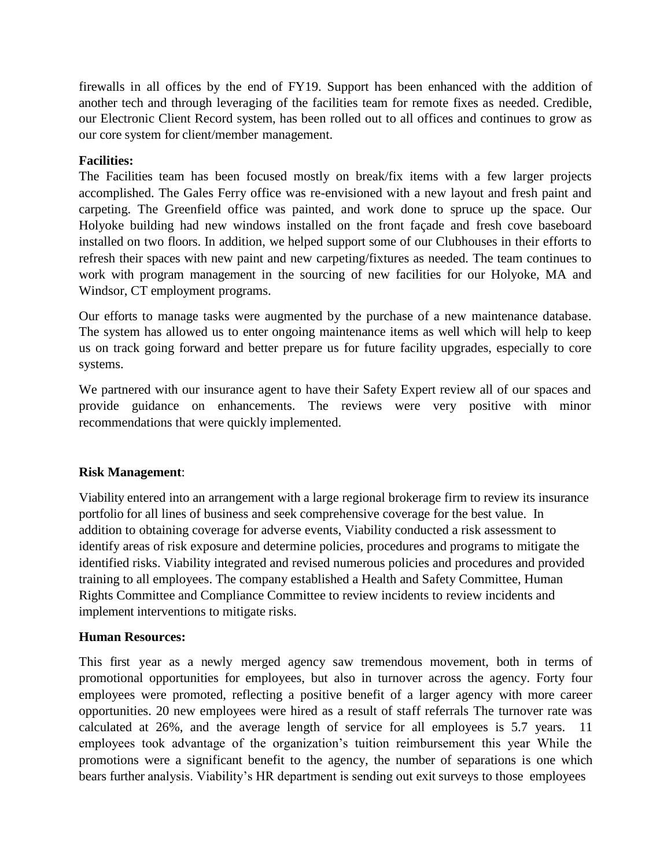firewalls in all offices by the end of FY19. Support has been enhanced with the addition of another tech and through leveraging of the facilities team for remote fixes as needed. Credible, our Electronic Client Record system, has been rolled out to all offices and continues to grow as our core system for client/member management.

## **Facilities:**

The Facilities team has been focused mostly on break/fix items with a few larger projects accomplished. The Gales Ferry office was re-envisioned with a new layout and fresh paint and carpeting. The Greenfield office was painted, and work done to spruce up the space. Our Holyoke building had new windows installed on the front façade and fresh cove baseboard installed on two floors. In addition, we helped support some of our Clubhouses in their efforts to refresh their spaces with new paint and new carpeting/fixtures as needed. The team continues to work with program management in the sourcing of new facilities for our Holyoke, MA and Windsor, CT employment programs.

Our efforts to manage tasks were augmented by the purchase of a new maintenance database. The system has allowed us to enter ongoing maintenance items as well which will help to keep us on track going forward and better prepare us for future facility upgrades, especially to core systems.

We partnered with our insurance agent to have their Safety Expert review all of our spaces and provide guidance on enhancements. The reviews were very positive with minor recommendations that were quickly implemented.

#### **Risk Management**:

Viability entered into an arrangement with a large regional brokerage firm to review its insurance portfolio for all lines of business and seek comprehensive coverage for the best value. In addition to obtaining coverage for adverse events, Viability conducted a risk assessment to identify areas of risk exposure and determine policies, procedures and programs to mitigate the identified risks. Viability integrated and revised numerous policies and procedures and provided training to all employees. The company established a Health and Safety Committee, Human Rights Committee and Compliance Committee to review incidents to review incidents and implement interventions to mitigate risks.

#### **Human Resources:**

This first year as a newly merged agency saw tremendous movement, both in terms of promotional opportunities for employees, but also in turnover across the agency. Forty four employees were promoted, reflecting a positive benefit of a larger agency with more career opportunities. 20 new employees were hired as a result of staff referrals The turnover rate was calculated at 26%, and the average length of service for all employees is 5.7 years. 11 employees took advantage of the organization's tuition reimbursement this year While the promotions were a significant benefit to the agency, the number of separations is one which bears further analysis. Viability's HR department is sending out exit surveys to those employees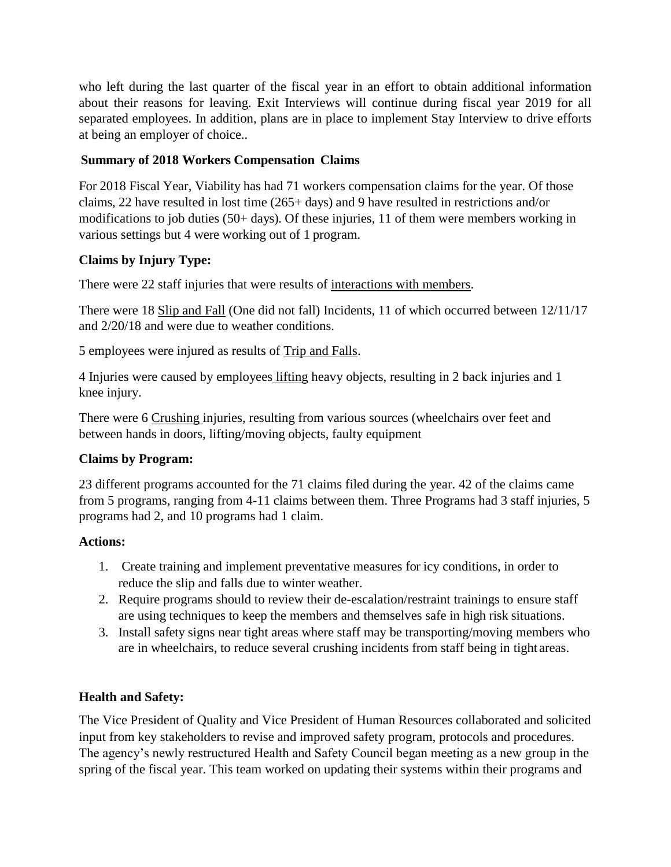who left during the last quarter of the fiscal year in an effort to obtain additional information about their reasons for leaving. Exit Interviews will continue during fiscal year 2019 for all separated employees. In addition, plans are in place to implement Stay Interview to drive efforts at being an employer of choice..

# **Summary of 2018 Workers Compensation Claims**

For 2018 Fiscal Year, Viability has had 71 workers compensation claims for the year. Of those claims, 22 have resulted in lost time (265+ days) and 9 have resulted in restrictions and/or modifications to job duties (50+ days). Of these injuries, 11 of them were members working in various settings but 4 were working out of 1 program.

# **Claims by Injury Type:**

There were 22 staff injuries that were results of interactions with members.

There were 18 Slip and Fall (One did not fall) Incidents, 11 of which occurred between 12/11/17 and 2/20/18 and were due to weather conditions.

5 employees were injured as results of Trip and Falls.

4 Injuries were caused by employees lifting heavy objects, resulting in 2 back injuries and 1 knee injury.

There were 6 Crushing injuries, resulting from various sources (wheelchairs over feet and between hands in doors, lifting/moving objects, faulty equipment

## **Claims by Program:**

23 different programs accounted for the 71 claims filed during the year. 42 of the claims came from 5 programs, ranging from 4-11 claims between them. Three Programs had 3 staff injuries, 5 programs had 2, and 10 programs had 1 claim.

## **Actions:**

- 1. Create training and implement preventative measures for icy conditions, in order to reduce the slip and falls due to winter weather.
- 2. Require programs should to review their de-escalation/restraint trainings to ensure staff are using techniques to keep the members and themselves safe in high risk situations.
- 3. Install safety signs near tight areas where staff may be transporting/moving members who are in wheelchairs, to reduce several crushing incidents from staff being in tight areas.

# **Health and Safety:**

The Vice President of Quality and Vice President of Human Resources collaborated and solicited input from key stakeholders to revise and improved safety program, protocols and procedures. The agency's newly restructured Health and Safety Council began meeting as a new group in the spring of the fiscal year. This team worked on updating their systems within their programs and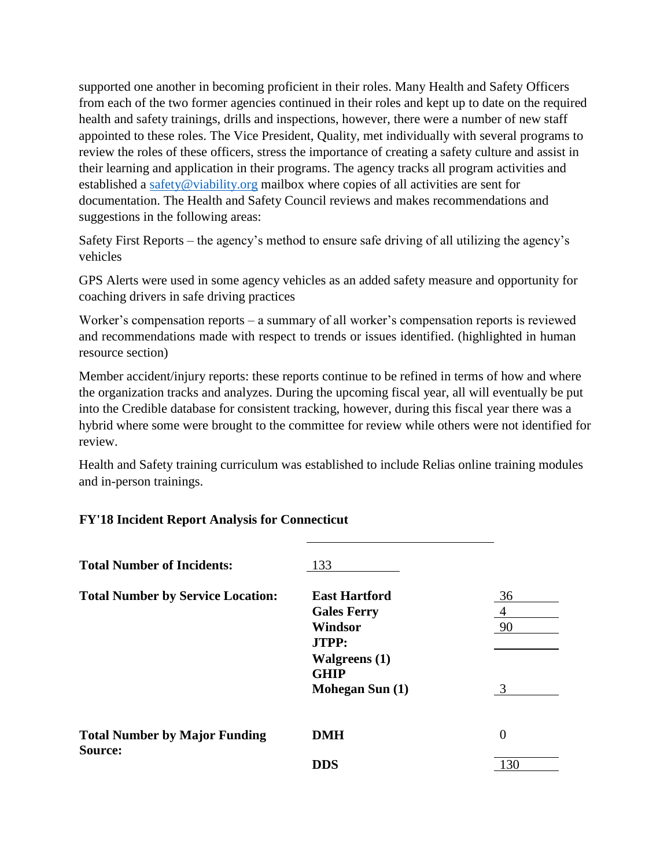supported one another in becoming proficient in their roles. Many Health and Safety Officers from each of the two former agencies continued in their roles and kept up to date on the required health and safety trainings, drills and inspections, however, there were a number of new staff appointed to these roles. The Vice President, Quality, met individually with several programs to review the roles of these officers, stress the importance of creating a safety culture and assist in their learning and application in their programs. The agency tracks all program activities and established a [safety@viability.org](mailto:safety@viability.org) mailbox where copies of all activities are sent for documentation. The Health and Safety Council reviews and makes recommendations and suggestions in the following areas:

Safety First Reports – the agency's method to ensure safe driving of all utilizing the agency's vehicles

GPS Alerts were used in some agency vehicles as an added safety measure and opportunity for coaching drivers in safe driving practices

Worker's compensation reports – a summary of all worker's compensation reports is reviewed and recommendations made with respect to trends or issues identified. (highlighted in human resource section)

Member accident/injury reports: these reports continue to be refined in terms of how and where the organization tracks and analyzes. During the upcoming fiscal year, all will eventually be put into the Credible database for consistent tracking, however, during this fiscal year there was a hybrid where some were brought to the committee for review while others were not identified for review.

Health and Safety training curriculum was established to include Relias online training modules and in-person trainings.

|  |  |  |  |  |  | <b>FY'18 Incident Report Analysis for Connecticut</b> |
|--|--|--|--|--|--|-------------------------------------------------------|
|--|--|--|--|--|--|-------------------------------------------------------|

| <b>Total Number of Incidents:</b>               | 133                                                                          |               |
|-------------------------------------------------|------------------------------------------------------------------------------|---------------|
| <b>Total Number by Service Location:</b>        | <b>East Hartford</b><br><b>Gales Ferry</b><br><b>Windsor</b><br><b>JTPP:</b> | 36<br>4<br>90 |
|                                                 | <b>Walgreens</b> (1)<br><b>GHIP</b><br>Mohegan Sun (1)                       | $\mathcal{R}$ |
| <b>Total Number by Major Funding</b><br>Source: | <b>DMH</b>                                                                   | $\theta$      |
|                                                 | DDS                                                                          | 130           |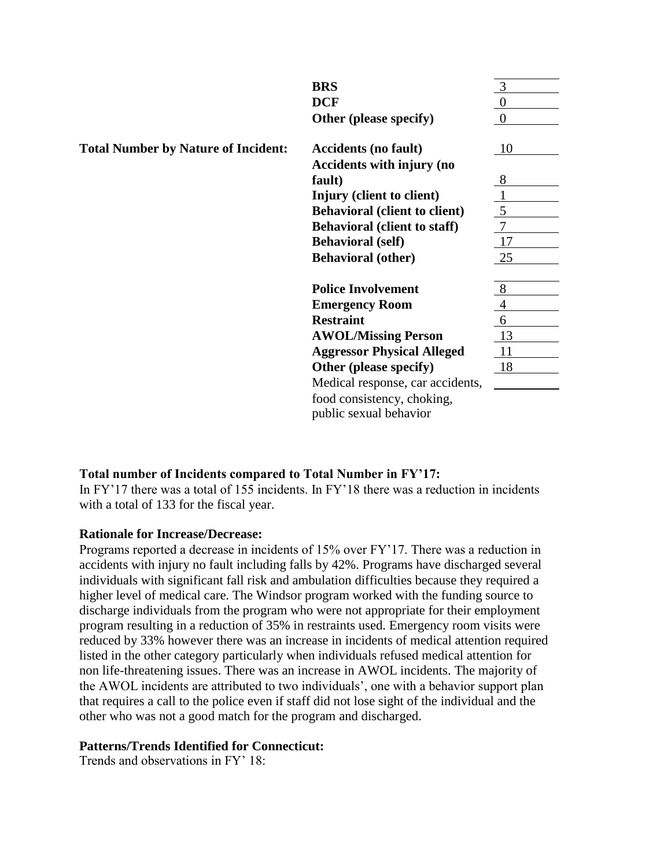|                                            | <b>BRS</b>                           |        |
|--------------------------------------------|--------------------------------------|--------|
|                                            | <b>DCF</b>                           |        |
|                                            | Other (please specify)               |        |
| <b>Total Number by Nature of Incident:</b> | <b>Accidents (no fault)</b>          | 10     |
|                                            | Accidents with injury (no            |        |
|                                            | fault)                               | 8      |
|                                            | Injury (client to client)            |        |
|                                            | <b>Behavioral (client to client)</b> | 5      |
|                                            | <b>Behavioral (client to staff)</b>  | $\tau$ |
|                                            | <b>Behavioral</b> (self)             | 17     |
|                                            | <b>Behavioral (other)</b>            | 25     |
|                                            | <b>Police Involvement</b>            | 8      |
|                                            | <b>Emergency Room</b>                |        |
|                                            | <b>Restraint</b>                     | 6      |
|                                            | <b>AWOL/Missing Person</b>           | 13     |
|                                            | <b>Aggressor Physical Alleged</b>    | 11     |
|                                            | Other (please specify)               | 18     |
|                                            | Medical response, car accidents,     |        |
|                                            | food consistency, choking,           |        |
|                                            | public sexual behavior               |        |

## **Total number of Incidents compared to Total Number in FY'17:**

In FY'17 there was a total of 155 incidents. In FY'18 there was a reduction in incidents with a total of 133 for the fiscal year.

#### **Rationale for Increase/Decrease:**

Programs reported a decrease in incidents of 15% over FY'17. There was a reduction in accidents with injury no fault including falls by 42%. Programs have discharged several individuals with significant fall risk and ambulation difficulties because they required a higher level of medical care. The Windsor program worked with the funding source to discharge individuals from the program who were not appropriate for their employment program resulting in a reduction of 35% in restraints used. Emergency room visits were reduced by 33% however there was an increase in incidents of medical attention required listed in the other category particularly when individuals refused medical attention for non life-threatening issues. There was an increase in AWOL incidents. The majority of the AWOL incidents are attributed to two individuals', one with a behavior support plan that requires a call to the police even if staff did not lose sight of the individual and the other who was not a good match for the program and discharged.

#### **Patterns/Trends Identified for Connecticut:**

Trends and observations in FY' 18: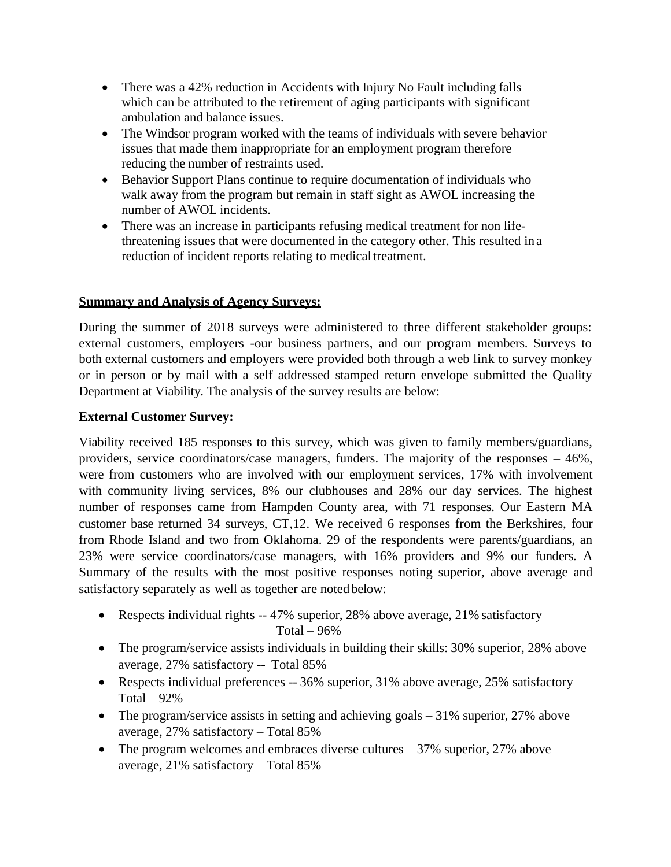- There was a 42% reduction in Accidents with Injury No Fault including falls which can be attributed to the retirement of aging participants with significant ambulation and balance issues.
- The Windsor program worked with the teams of individuals with severe behavior issues that made them inappropriate for an employment program therefore reducing the number of restraints used.
- Behavior Support Plans continue to require documentation of individuals who walk away from the program but remain in staff sight as AWOL increasing the number of AWOL incidents.
- There was an increase in participants refusing medical treatment for non lifethreatening issues that were documented in the category other. This resulted in a reduction of incident reports relating to medical treatment.

#### **Summary and Analysis of Agency Surveys:**

During the summer of 2018 surveys were administered to three different stakeholder groups: external customers, employers -our business partners, and our program members. Surveys to both external customers and employers were provided both through a web link to survey monkey or in person or by mail with a self addressed stamped return envelope submitted the Quality Department at Viability. The analysis of the survey results are below:

#### **External Customer Survey:**

Viability received 185 responses to this survey, which was given to family members/guardians, providers, service coordinators/case managers, funders. The majority of the responses – 46%, were from customers who are involved with our employment services, 17% with involvement with community living services, 8% our clubhouses and 28% our day services. The highest number of responses came from Hampden County area, with 71 responses. Our Eastern MA customer base returned 34 surveys, CT,12. We received 6 responses from the Berkshires, four from Rhode Island and two from Oklahoma. 29 of the respondents were parents/guardians, an 23% were service coordinators/case managers, with 16% providers and 9% our funders. A Summary of the results with the most positive responses noting superior, above average and satisfactory separately as well as together are noted below:

- Respects individual rights -- 47% superior, 28% above average, 21% satisfactory Total  $-96%$
- The program/service assists individuals in building their skills: 30% superior, 28% above average, 27% satisfactory -- Total 85%
- Respects individual preferences -- 36% superior, 31% above average, 25% satisfactory Total  $-92%$
- The program/service assists in setting and achieving goals 31% superior, 27% above average, 27% satisfactory – Total 85%
- The program welcomes and embraces diverse cultures 37% superior, 27% above average, 21% satisfactory – Total 85%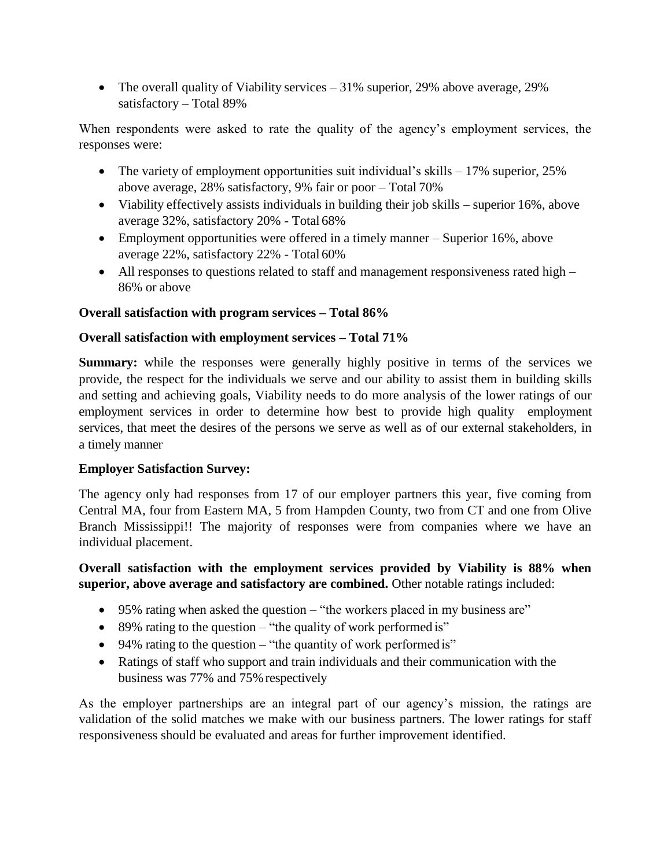• The overall quality of Viability services – 31% superior, 29% above average, 29% satisfactory – Total 89%

When respondents were asked to rate the quality of the agency's employment services, the responses were:

- The variety of employment opportunities suit individual's skills  $-17\%$  superior, 25% above average, 28% satisfactory, 9% fair or poor – Total 70%
- Viability effectively assists individuals in building their job skills superior 16%, above average 32%, satisfactory 20% - Total 68%
- Employment opportunities were offered in a timely manner Superior 16%, above average 22%, satisfactory 22% - Total 60%
- All responses to questions related to staff and management responsiveness rated high 86% or above

# **Overall satisfaction with program services – Total 86%**

## **Overall satisfaction with employment services – Total 71%**

**Summary:** while the responses were generally highly positive in terms of the services we provide, the respect for the individuals we serve and our ability to assist them in building skills and setting and achieving goals, Viability needs to do more analysis of the lower ratings of our employment services in order to determine how best to provide high quality employment services, that meet the desires of the persons we serve as well as of our external stakeholders, in a timely manner

## **Employer Satisfaction Survey:**

The agency only had responses from 17 of our employer partners this year, five coming from Central MA, four from Eastern MA, 5 from Hampden County, two from CT and one from Olive Branch Mississippi!! The majority of responses were from companies where we have an individual placement.

# **Overall satisfaction with the employment services provided by Viability is 88% when superior, above average and satisfactory are combined.** Other notable ratings included:

- 95% rating when asked the question "the workers placed in my business are"
- $\bullet$  89% rating to the question "the quality of work performed is"
- 94% rating to the question "the quantity of work performed is"
- Ratings of staff who support and train individuals and their communication with the business was 77% and 75% respectively

As the employer partnerships are an integral part of our agency's mission, the ratings are validation of the solid matches we make with our business partners. The lower ratings for staff responsiveness should be evaluated and areas for further improvement identified.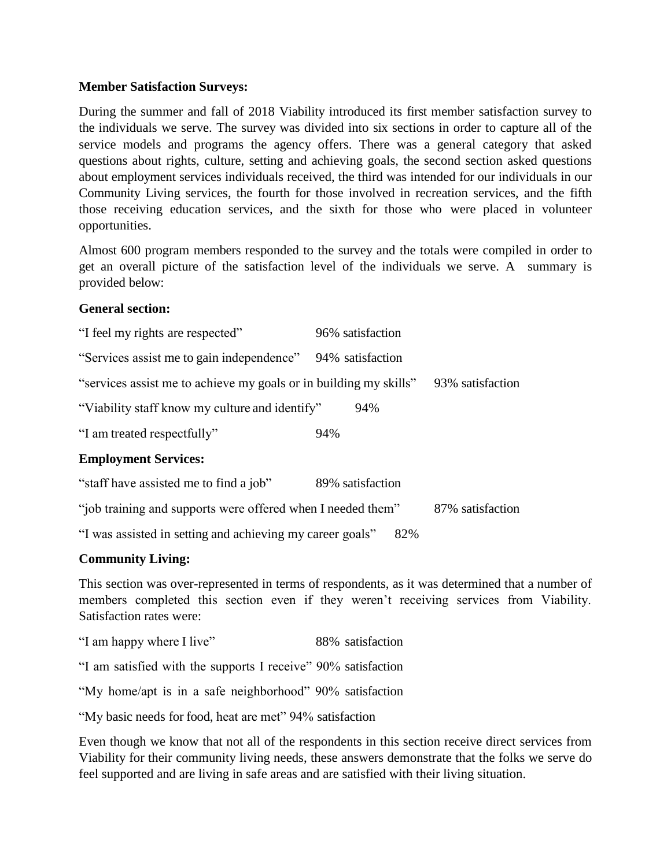#### **Member Satisfaction Surveys:**

During the summer and fall of 2018 Viability introduced its first member satisfaction survey to the individuals we serve. The survey was divided into six sections in order to capture all of the service models and programs the agency offers. There was a general category that asked questions about rights, culture, setting and achieving goals, the second section asked questions about employment services individuals received, the third was intended for our individuals in our Community Living services, the fourth for those involved in recreation services, and the fifth those receiving education services, and the sixth for those who were placed in volunteer opportunities.

Almost 600 program members responded to the survey and the totals were compiled in order to get an overall picture of the satisfaction level of the individuals we serve. A summary is provided below:

#### **General section:**

| "I feel my rights are respected"                                  | 96% satisfaction |
|-------------------------------------------------------------------|------------------|
| "Services assist me to gain independence"                         | 94% satisfaction |
| "services assist me to achieve my goals or in building my skills" | 93% satisfaction |
| "Viability staff know my culture and identify"                    | 94%              |
| "I am treated respectfully"                                       | 94%              |
| <b>Employment Services:</b>                                       |                  |
| "staff have assisted me to find a job"                            | 89% satisfaction |
|                                                                   |                  |

"job training and supports were offered when I needed them" 87% satisfaction

"I was assisted in setting and achieving my career goals" 82%

## **Community Living:**

This section was over-represented in terms of respondents, as it was determined that a number of members completed this section even if they weren't receiving services from Viability. Satisfaction rates were:

"I am happy where I live" 88% satisfaction

"I am satisfied with the supports I receive" 90% satisfaction

"My home/apt is in a safe neighborhood" 90% satisfaction

"My basic needs for food, heat are met" 94% satisfaction

Even though we know that not all of the respondents in this section receive direct services from Viability for their community living needs, these answers demonstrate that the folks we serve do feel supported and are living in safe areas and are satisfied with their living situation.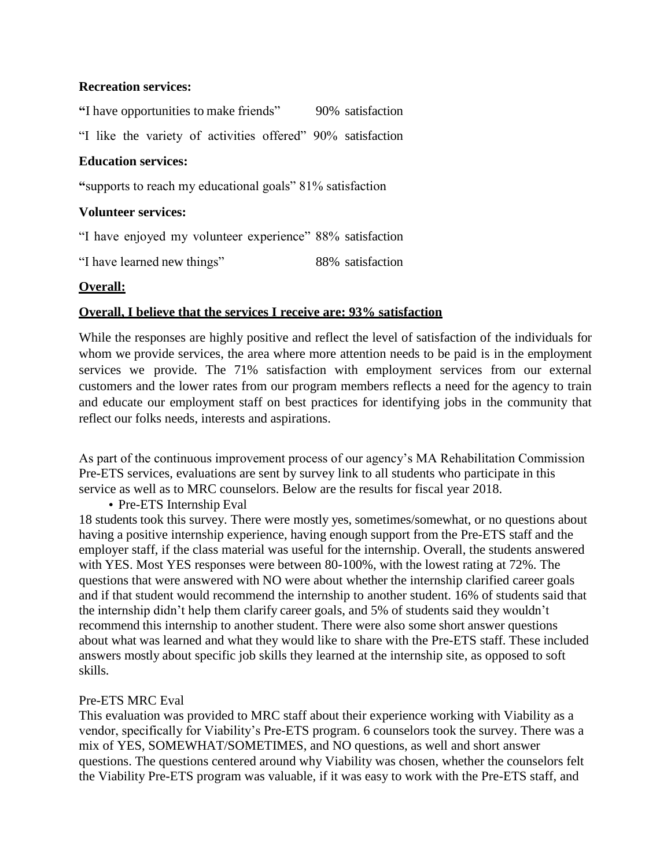#### **Recreation services:**

**"**I have opportunities to make friends" 90% satisfaction "I like the variety of activities offered" 90% satisfaction

## **Education services:**

**"**supports to reach my educational goals" 81% satisfaction

#### **Volunteer services:**

"I have enjoyed my volunteer experience" 88% satisfaction

"I have learned new things" 88% satisfaction

#### **Overall:**

#### **Overall, I believe that the services I receive are: 93% satisfaction**

While the responses are highly positive and reflect the level of satisfaction of the individuals for whom we provide services, the area where more attention needs to be paid is in the employment services we provide. The 71% satisfaction with employment services from our external customers and the lower rates from our program members reflects a need for the agency to train and educate our employment staff on best practices for identifying jobs in the community that reflect our folks needs, interests and aspirations.

As part of the continuous improvement process of our agency's MA Rehabilitation Commission Pre-ETS services, evaluations are sent by survey link to all students who participate in this service as well as to MRC counselors. Below are the results for fiscal year 2018.

• Pre-ETS Internship Eval

18 students took this survey. There were mostly yes, sometimes/somewhat, or no questions about having a positive internship experience, having enough support from the Pre-ETS staff and the employer staff, if the class material was useful for the internship. Overall, the students answered with YES. Most YES responses were between 80-100%, with the lowest rating at 72%. The questions that were answered with NO were about whether the internship clarified career goals and if that student would recommend the internship to another student. 16% of students said that the internship didn't help them clarify career goals, and 5% of students said they wouldn't recommend this internship to another student. There were also some short answer questions about what was learned and what they would like to share with the Pre-ETS staff. These included answers mostly about specific job skills they learned at the internship site, as opposed to soft skills.

#### Pre-ETS MRC Eval

This evaluation was provided to MRC staff about their experience working with Viability as a vendor, specifically for Viability's Pre-ETS program. 6 counselors took the survey. There was a mix of YES, SOMEWHAT/SOMETIMES, and NO questions, as well and short answer questions. The questions centered around why Viability was chosen, whether the counselors felt the Viability Pre-ETS program was valuable, if it was easy to work with the Pre-ETS staff, and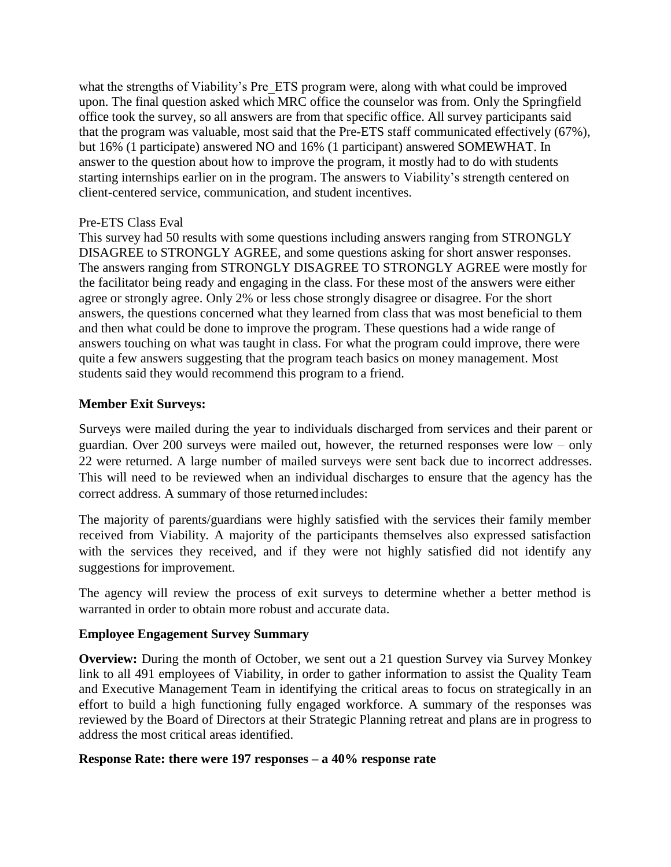what the strengths of Viability's Pre ETS program were, along with what could be improved upon. The final question asked which MRC office the counselor was from. Only the Springfield office took the survey, so all answers are from that specific office. All survey participants said that the program was valuable, most said that the Pre-ETS staff communicated effectively (67%), but 16% (1 participate) answered NO and 16% (1 participant) answered SOMEWHAT. In answer to the question about how to improve the program, it mostly had to do with students starting internships earlier on in the program. The answers to Viability's strength centered on client-centered service, communication, and student incentives.

#### Pre-ETS Class Eval

This survey had 50 results with some questions including answers ranging from STRONGLY DISAGREE to STRONGLY AGREE, and some questions asking for short answer responses. The answers ranging from STRONGLY DISAGREE TO STRONGLY AGREE were mostly for the facilitator being ready and engaging in the class. For these most of the answers were either agree or strongly agree. Only 2% or less chose strongly disagree or disagree. For the short answers, the questions concerned what they learned from class that was most beneficial to them and then what could be done to improve the program. These questions had a wide range of answers touching on what was taught in class. For what the program could improve, there were quite a few answers suggesting that the program teach basics on money management. Most students said they would recommend this program to a friend.

## **Member Exit Surveys:**

Surveys were mailed during the year to individuals discharged from services and their parent or guardian. Over 200 surveys were mailed out, however, the returned responses were low – only 22 were returned. A large number of mailed surveys were sent back due to incorrect addresses. This will need to be reviewed when an individual discharges to ensure that the agency has the correct address. A summary of those returned includes:

The majority of parents/guardians were highly satisfied with the services their family member received from Viability. A majority of the participants themselves also expressed satisfaction with the services they received, and if they were not highly satisfied did not identify any suggestions for improvement.

The agency will review the process of exit surveys to determine whether a better method is warranted in order to obtain more robust and accurate data.

#### **Employee Engagement Survey Summary**

**Overview:** During the month of October, we sent out a 21 question Survey via Survey Monkey link to all 491 employees of Viability, in order to gather information to assist the Quality Team and Executive Management Team in identifying the critical areas to focus on strategically in an effort to build a high functioning fully engaged workforce. A summary of the responses was reviewed by the Board of Directors at their Strategic Planning retreat and plans are in progress to address the most critical areas identified.

#### **Response Rate: there were 197 responses – a 40% response rate**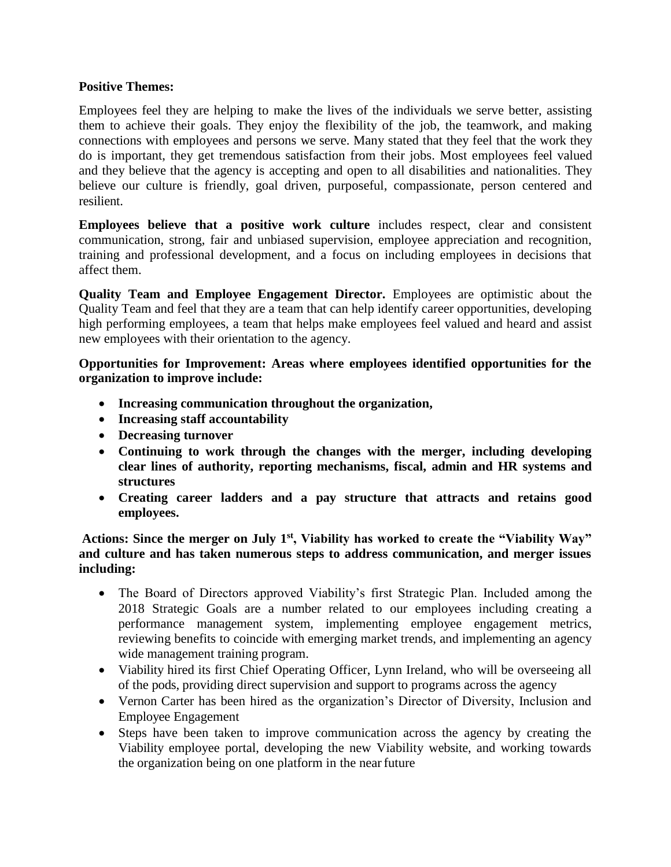## **Positive Themes:**

Employees feel they are helping to make the lives of the individuals we serve better, assisting them to achieve their goals. They enjoy the flexibility of the job, the teamwork, and making connections with employees and persons we serve. Many stated that they feel that the work they do is important, they get tremendous satisfaction from their jobs. Most employees feel valued and they believe that the agency is accepting and open to all disabilities and nationalities. They believe our culture is friendly, goal driven, purposeful, compassionate, person centered and resilient.

**Employees believe that a positive work culture** includes respect, clear and consistent communication, strong, fair and unbiased supervision, employee appreciation and recognition, training and professional development, and a focus on including employees in decisions that affect them.

**Quality Team and Employee Engagement Director.** Employees are optimistic about the Quality Team and feel that they are a team that can help identify career opportunities, developing high performing employees, a team that helps make employees feel valued and heard and assist new employees with their orientation to the agency.

**Opportunities for Improvement: Areas where employees identified opportunities for the organization to improve include:**

- **Increasing communication throughout the organization,**
- **Increasing staff accountability**
- **Decreasing turnover**
- **Continuing to work through the changes with the merger, including developing clear lines of authority, reporting mechanisms, fiscal, admin and HR systems and structures**
- **Creating career ladders and a pay structure that attracts and retains good employees.**

**Actions: Since the merger on July 1st, Viability has worked to create the "Viability Way" and culture and has taken numerous steps to address communication, and merger issues including:**

- The Board of Directors approved Viability's first Strategic Plan. Included among the 2018 Strategic Goals are a number related to our employees including creating a performance management system, implementing employee engagement metrics, reviewing benefits to coincide with emerging market trends, and implementing an agency wide management training program.
- Viability hired its first Chief Operating Officer, Lynn Ireland, who will be overseeing all of the pods, providing direct supervision and support to programs across the agency
- Vernon Carter has been hired as the organization's Director of Diversity, Inclusion and Employee Engagement
- Steps have been taken to improve communication across the agency by creating the Viability employee portal, developing the new Viability website, and working towards the organization being on one platform in the nearfuture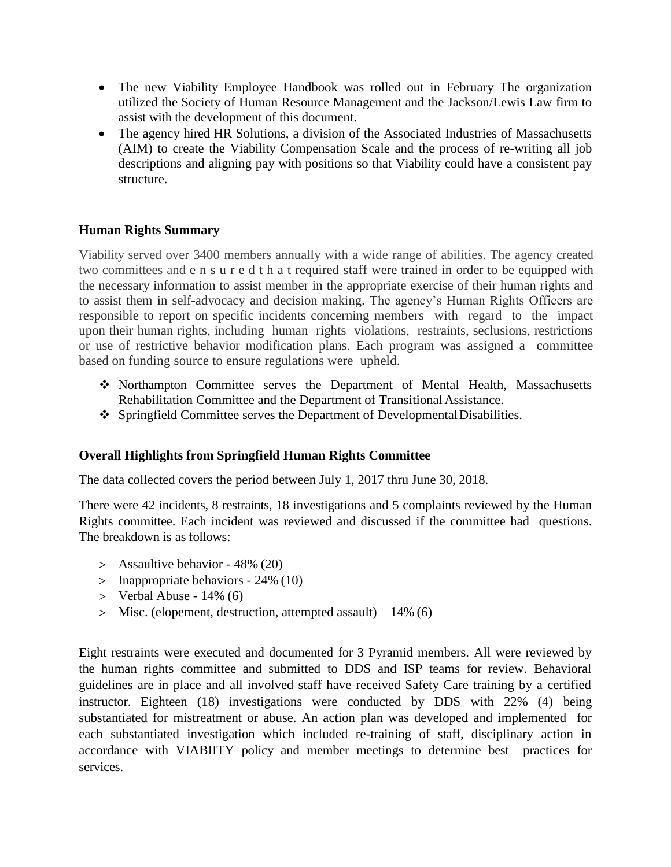- The new Viability Employee Handbook was rolled out in February The organization utilized the Society of Human Resource Management and the Jackson/Lewis Law firm to assist with the development of this document.
- The agency hired HR Solutions, a division of the Associated Industries of Massachusetts (AIM) to create the Viability Compensation Scale and the process of re-writing all job descriptions and aligning pay with positions so that Viability could have a consistent pay structure.

## **Human Rights Summary**

Viability served over 3400 members annually with a wide range of abilities. The agency created two committees and e n s u r e d t h a t required staff were trained in order to be equipped with the necessary information to assist member in the appropriate exercise of their human rights and to assist them in self-advocacy and decision making. The agency's Human Rights Officers are responsible to report on specific incidents concerning members with regard to the impact upon their human rights, including human rights violations, restraints, seclusions, restrictions or use of restrictive behavior modification plans. Each program was assigned a committee based on funding source to ensure regulations were upheld.

- Northampton Committee serves the Department of Mental Health, Massachusetts Rehabilitation Committee and the Department of Transitional Assistance.
- Springfield Committee serves the Department of DevelopmentalDisabilities.

# **Overall Highlights from Springfield Human Rights Committee**

The data collected covers the period between July 1, 2017 thru June 30, 2018.

There were 42 incidents, 8 restraints, 18 investigations and 5 complaints reviewed by the Human Rights committee. Each incident was reviewed and discussed if the committee had questions. The breakdown is as follows:

- $>$  Assaultive behavior 48% (20)
- $>$  Inappropriate behaviors 24% (10)
- $>$  Verbal Abuse 14% (6)
- Misc. (elopement, destruction, attempted assault) 14% (6)

Eight restraints were executed and documented for 3 Pyramid members. All were reviewed by the human rights committee and submitted to DDS and ISP teams for review. Behavioral guidelines are in place and all involved staff have received Safety Care training by a certified instructor. Eighteen (18) investigations were conducted by DDS with 22% (4) being substantiated for mistreatment or abuse. An action plan was developed and implemented for each substantiated investigation which included re-training of staff, disciplinary action in accordance with VIABIITY policy and member meetings to determine best practices for services.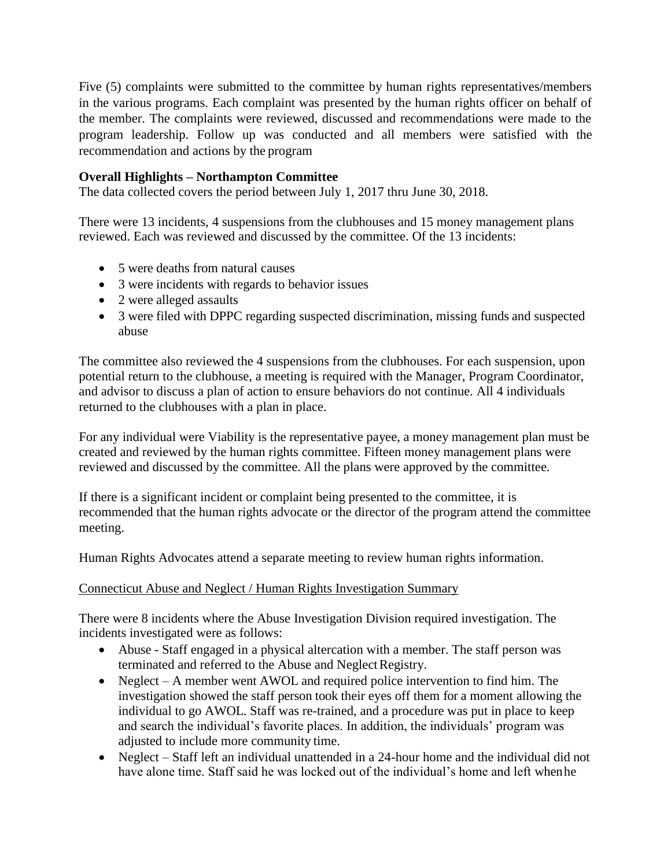Five  $(5)$  complaints were submitted to the committee by human rights representatives/members in the various programs. Each complaint was presented by the human rights officer on behalf of the member. The complaints were reviewed, discussed and recommendations were made to the program leadership. Follow up was conducted and all members were satisfied with the recommendation and actions by the program

## **Overall Highlights – Northampton Committee**

The data collected covers the period between July 1, 2017 thru June 30, 2018.

There were 13 incidents, 4 suspensions from the clubhouses and 15 money management plans reviewed. Each was reviewed and discussed by the committee. Of the 13 incidents:

- 5 were deaths from natural causes
- 3 were incidents with regards to behavior issues
- 2 were alleged assaults
- 3 were filed with DPPC regarding suspected discrimination, missing funds and suspected abuse

The committee also reviewed the 4 suspensions from the clubhouses. For each suspension, upon potential return to the clubhouse, a meeting is required with the Manager, Program Coordinator, and advisor to discuss a plan of action to ensure behaviors do not continue. All 4 individuals returned to the clubhouses with a plan in place.

For any individual were Viability is the representative payee, a money management plan must be created and reviewed by the human rights committee. Fifteen money management plans were reviewed and discussed by the committee. All the plans were approved by the committee.

If there is a significant incident or complaint being presented to the committee, it is recommended that the human rights advocate or the director of the program attend the committee meeting.

Human Rights Advocates attend a separate meeting to review human rights information.

#### Connecticut Abuse and Neglect / Human Rights Investigation Summary

There were 8 incidents where the Abuse Investigation Division required investigation. The incidents investigated were as follows:

- Abuse Staff engaged in a physical altercation with a member. The staff person was terminated and referred to the Abuse and Neglect Registry.
- Neglect A member went AWOL and required police intervention to find him. The investigation showed the staff person took their eyes off them for a moment allowing the individual to go AWOL. Staff was re-trained, and a procedure was put in place to keep and search the individual's favorite places. In addition, the individuals' program was adjusted to include more community time.
- Neglect Staff left an individual unattended in a 24-hour home and the individual did not have alone time. Staff said he was locked out of the individual's home and left whenhe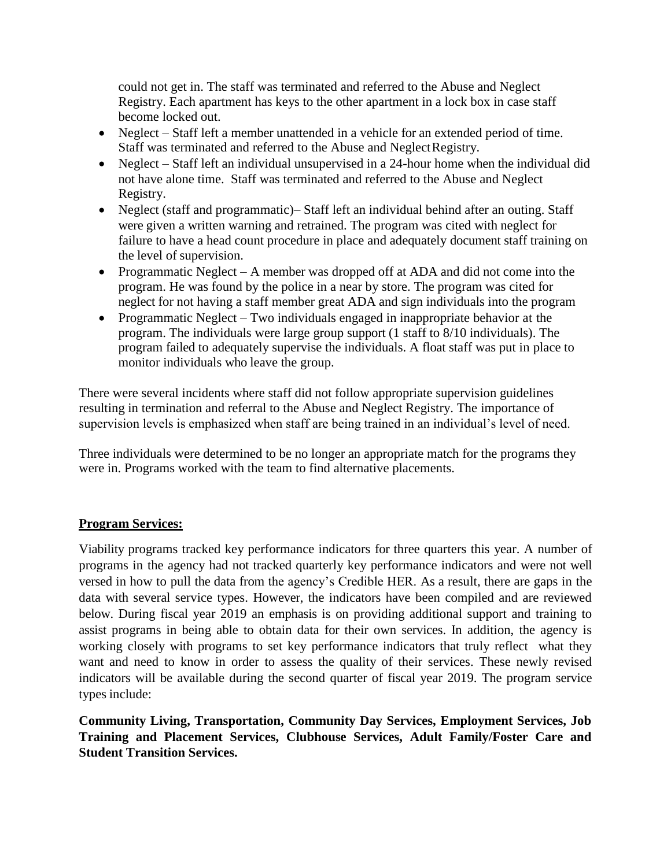could not get in. The staff was terminated and referred to the Abuse and Neglect Registry. Each apartment has keys to the other apartment in a lock box in case staff become locked out.

- Neglect Staff left a member unattended in a vehicle for an extended period of time. Staff was terminated and referred to the Abuse and Neglect Registry.
- Neglect Staff left an individual unsupervised in a 24-hour home when the individual did not have alone time. Staff was terminated and referred to the Abuse and Neglect Registry.
- Neglect (staff and programmatic)– Staff left an individual behind after an outing. Staff were given a written warning and retrained. The program was cited with neglect for failure to have a head count procedure in place and adequately document staff training on the level of supervision.
- Programmatic Neglect A member was dropped off at ADA and did not come into the program. He was found by the police in a near by store. The program was cited for neglect for not having a staff member great ADA and sign individuals into the program
- Programmatic Neglect Two individuals engaged in inappropriate behavior at the program. The individuals were large group support (1 staff to 8/10 individuals). The program failed to adequately supervise the individuals. A float staff was put in place to monitor individuals who leave the group.

There were several incidents where staff did not follow appropriate supervision guidelines resulting in termination and referral to the Abuse and Neglect Registry. The importance of supervision levels is emphasized when staff are being trained in an individual's level of need.

Three individuals were determined to be no longer an appropriate match for the programs they were in. Programs worked with the team to find alternative placements.

## **Program Services:**

Viability programs tracked key performance indicators for three quarters this year. A number of programs in the agency had not tracked quarterly key performance indicators and were not well versed in how to pull the data from the agency's Credible HER. As a result, there are gaps in the data with several service types. However, the indicators have been compiled and are reviewed below. During fiscal year 2019 an emphasis is on providing additional support and training to assist programs in being able to obtain data for their own services. In addition, the agency is working closely with programs to set key performance indicators that truly reflect what they want and need to know in order to assess the quality of their services. These newly revised indicators will be available during the second quarter of fiscal year 2019. The program service types include:

**Community Living, Transportation, Community Day Services, Employment Services, Job Training and Placement Services, Clubhouse Services, Adult Family/Foster Care and Student Transition Services.**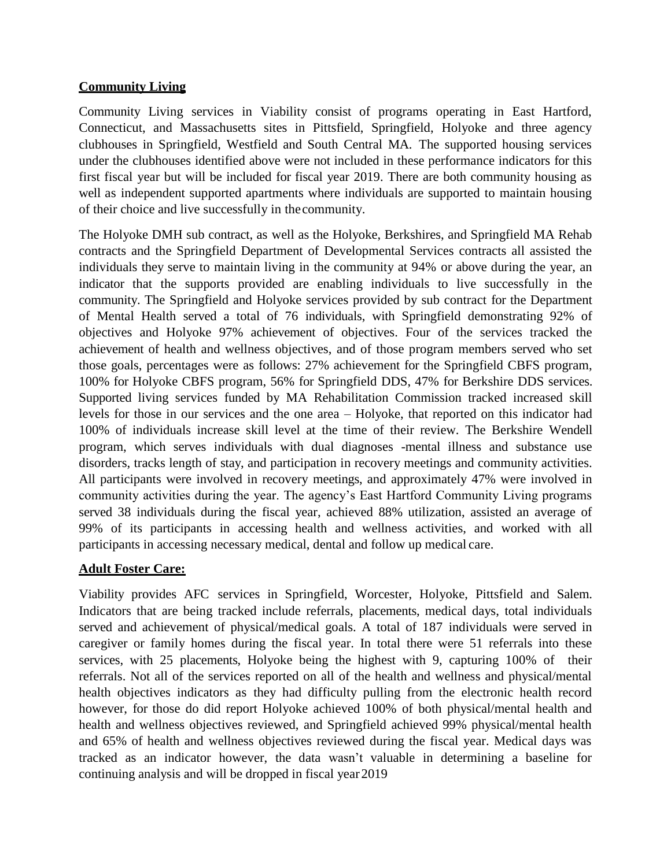## **Community Living**

Community Living services in Viability consist of programs operating in East Hartford, Connecticut, and Massachusetts sites in Pittsfield, Springfield, Holyoke and three agency clubhouses in Springfield, Westfield and South Central MA. The supported housing services under the clubhouses identified above were not included in these performance indicators for this first fiscal year but will be included for fiscal year 2019. There are both community housing as well as independent supported apartments where individuals are supported to maintain housing of their choice and live successfully in thecommunity.

The Holyoke DMH sub contract, as well as the Holyoke, Berkshires, and Springfield MA Rehab contracts and the Springfield Department of Developmental Services contracts all assisted the individuals they serve to maintain living in the community at 94% or above during the year, an indicator that the supports provided are enabling individuals to live successfully in the community. The Springfield and Holyoke services provided by sub contract for the Department of Mental Health served a total of 76 individuals, with Springfield demonstrating 92% of objectives and Holyoke 97% achievement of objectives. Four of the services tracked the achievement of health and wellness objectives, and of those program members served who set those goals, percentages were as follows: 27% achievement for the Springfield CBFS program, 100% for Holyoke CBFS program, 56% for Springfield DDS, 47% for Berkshire DDS services. Supported living services funded by MA Rehabilitation Commission tracked increased skill levels for those in our services and the one area – Holyoke, that reported on this indicator had 100% of individuals increase skill level at the time of their review. The Berkshire Wendell program, which serves individuals with dual diagnoses -mental illness and substance use disorders, tracks length of stay, and participation in recovery meetings and community activities. All participants were involved in recovery meetings, and approximately 47% were involved in community activities during the year. The agency's East Hartford Community Living programs served 38 individuals during the fiscal year, achieved 88% utilization, assisted an average of 99% of its participants in accessing health and wellness activities, and worked with all participants in accessing necessary medical, dental and follow up medical care.

## **Adult Foster Care:**

Viability provides AFC services in Springfield, Worcester, Holyoke, Pittsfield and Salem. Indicators that are being tracked include referrals, placements, medical days, total individuals served and achievement of physical/medical goals. A total of 187 individuals were served in caregiver or family homes during the fiscal year. In total there were 51 referrals into these services, with 25 placements, Holyoke being the highest with 9, capturing 100% of their referrals. Not all of the services reported on all of the health and wellness and physical/mental health objectives indicators as they had difficulty pulling from the electronic health record however, for those do did report Holyoke achieved 100% of both physical/mental health and health and wellness objectives reviewed, and Springfield achieved 99% physical/mental health and 65% of health and wellness objectives reviewed during the fiscal year. Medical days was tracked as an indicator however, the data wasn't valuable in determining a baseline for continuing analysis and will be dropped in fiscal year2019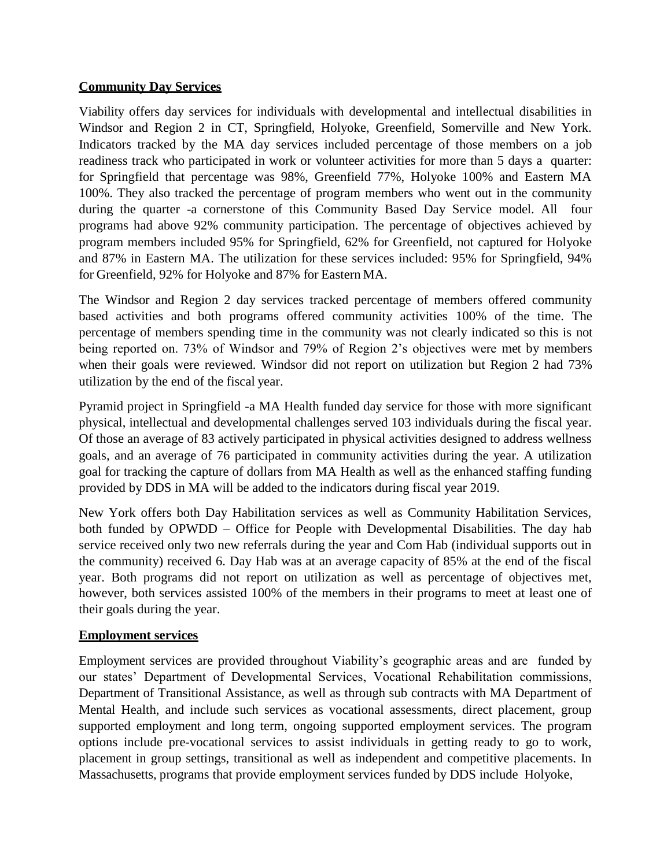## **Community Day Services**

Viability offers day services for individuals with developmental and intellectual disabilities in Windsor and Region 2 in CT, Springfield, Holyoke, Greenfield, Somerville and New York. Indicators tracked by the MA day services included percentage of those members on a job readiness track who participated in work or volunteer activities for more than 5 days a quarter: for Springfield that percentage was 98%, Greenfield 77%, Holyoke 100% and Eastern MA 100%. They also tracked the percentage of program members who went out in the community during the quarter -a cornerstone of this Community Based Day Service model. All four programs had above 92% community participation. The percentage of objectives achieved by program members included 95% for Springfield, 62% for Greenfield, not captured for Holyoke and 87% in Eastern MA. The utilization for these services included: 95% for Springfield, 94% for Greenfield, 92% for Holyoke and 87% for Eastern MA.

The Windsor and Region 2 day services tracked percentage of members offered community based activities and both programs offered community activities 100% of the time. The percentage of members spending time in the community was not clearly indicated so this is not being reported on. 73% of Windsor and 79% of Region 2's objectives were met by members when their goals were reviewed. Windsor did not report on utilization but Region 2 had 73% utilization by the end of the fiscal year.

Pyramid project in Springfield -a MA Health funded day service for those with more significant physical, intellectual and developmental challenges served 103 individuals during the fiscal year. Of those an average of 83 actively participated in physical activities designed to address wellness goals, and an average of 76 participated in community activities during the year. A utilization goal for tracking the capture of dollars from MA Health as well as the enhanced staffing funding provided by DDS in MA will be added to the indicators during fiscal year 2019.

New York offers both Day Habilitation services as well as Community Habilitation Services, both funded by OPWDD – Office for People with Developmental Disabilities. The day hab service received only two new referrals during the year and Com Hab (individual supports out in the community) received 6. Day Hab was at an average capacity of 85% at the end of the fiscal year. Both programs did not report on utilization as well as percentage of objectives met, however, both services assisted 100% of the members in their programs to meet at least one of their goals during the year.

#### **Employment services**

Employment services are provided throughout Viability's geographic areas and are funded by our states' Department of Developmental Services, Vocational Rehabilitation commissions, Department of Transitional Assistance, as well as through sub contracts with MA Department of Mental Health, and include such services as vocational assessments, direct placement, group supported employment and long term, ongoing supported employment services. The program options include pre-vocational services to assist individuals in getting ready to go to work, placement in group settings, transitional as well as independent and competitive placements. In Massachusetts, programs that provide employment services funded by DDS include Holyoke,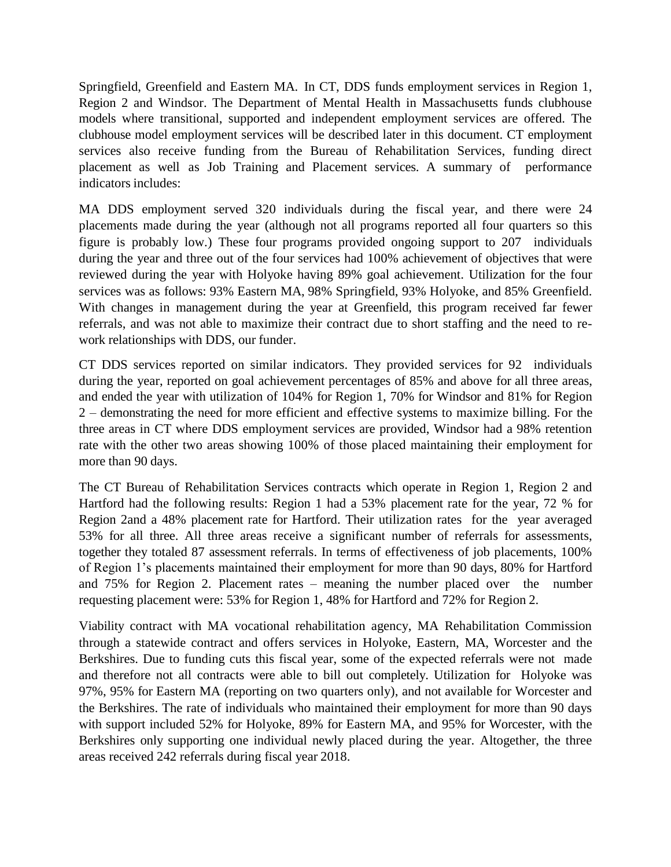Springfield, Greenfield and Eastern MA. In CT, DDS funds employment services in Region 1, Region 2 and Windsor. The Department of Mental Health in Massachusetts funds clubhouse models where transitional, supported and independent employment services are offered. The clubhouse model employment services will be described later in this document. CT employment services also receive funding from the Bureau of Rehabilitation Services, funding direct placement as well as Job Training and Placement services. A summary of performance indicators includes:

MA DDS employment served 320 individuals during the fiscal year, and there were 24 placements made during the year (although not all programs reported all four quarters so this figure is probably low.) These four programs provided ongoing support to 207 individuals during the year and three out of the four services had 100% achievement of objectives that were reviewed during the year with Holyoke having 89% goal achievement. Utilization for the four services was as follows: 93% Eastern MA, 98% Springfield, 93% Holyoke, and 85% Greenfield. With changes in management during the year at Greenfield, this program received far fewer referrals, and was not able to maximize their contract due to short staffing and the need to rework relationships with DDS, our funder.

CT DDS services reported on similar indicators. They provided services for 92 individuals during the year, reported on goal achievement percentages of 85% and above for all three areas, and ended the year with utilization of 104% for Region 1, 70% for Windsor and 81% for Region 2 – demonstrating the need for more efficient and effective systems to maximize billing. For the three areas in CT where DDS employment services are provided, Windsor had a 98% retention rate with the other two areas showing 100% of those placed maintaining their employment for more than 90 days.

The CT Bureau of Rehabilitation Services contracts which operate in Region 1, Region 2 and Hartford had the following results: Region 1 had a 53% placement rate for the year, 72 % for Region 2and a 48% placement rate for Hartford. Their utilization rates for the year averaged 53% for all three. All three areas receive a significant number of referrals for assessments, together they totaled 87 assessment referrals. In terms of effectiveness of job placements, 100% of Region 1's placements maintained their employment for more than 90 days, 80% for Hartford and 75% for Region 2. Placement rates – meaning the number placed over the number requesting placement were: 53% for Region 1, 48% for Hartford and 72% for Region 2.

Viability contract with MA vocational rehabilitation agency, MA Rehabilitation Commission through a statewide contract and offers services in Holyoke, Eastern, MA, Worcester and the Berkshires. Due to funding cuts this fiscal year, some of the expected referrals were not made and therefore not all contracts were able to bill out completely. Utilization for Holyoke was 97%, 95% for Eastern MA (reporting on two quarters only), and not available for Worcester and the Berkshires. The rate of individuals who maintained their employment for more than 90 days with support included 52% for Holyoke, 89% for Eastern MA, and 95% for Worcester, with the Berkshires only supporting one individual newly placed during the year. Altogether, the three areas received 242 referrals during fiscal year 2018.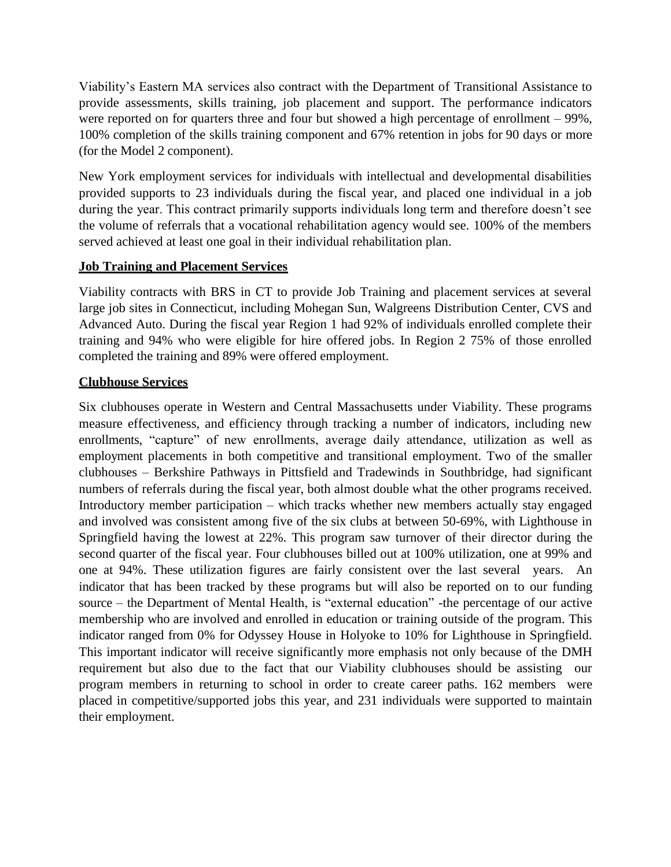Viability's Eastern MA services also contract with the Department of Transitional Assistance to provide assessments, skills training, job placement and support. The performance indicators were reported on for quarters three and four but showed a high percentage of enrollment – 99%, 100% completion of the skills training component and 67% retention in jobs for 90 days or more (for the Model 2 component).

New York employment services for individuals with intellectual and developmental disabilities provided supports to 23 individuals during the fiscal year, and placed one individual in a job during the year. This contract primarily supports individuals long term and therefore doesn't see the volume of referrals that a vocational rehabilitation agency would see. 100% of the members served achieved at least one goal in their individual rehabilitation plan.

#### **Job Training and Placement Services**

Viability contracts with BRS in CT to provide Job Training and placement services at several large job sites in Connecticut, including Mohegan Sun, Walgreens Distribution Center, CVS and Advanced Auto. During the fiscal year Region 1 had 92% of individuals enrolled complete their training and 94% who were eligible for hire offered jobs. In Region 2 75% of those enrolled completed the training and 89% were offered employment.

## **Clubhouse Services**

Six clubhouses operate in Western and Central Massachusetts under Viability. These programs measure effectiveness, and efficiency through tracking a number of indicators, including new enrollments, "capture" of new enrollments, average daily attendance, utilization as well as employment placements in both competitive and transitional employment. Two of the smaller clubhouses – Berkshire Pathways in Pittsfield and Tradewinds in Southbridge, had significant numbers of referrals during the fiscal year, both almost double what the other programs received. Introductory member participation – which tracks whether new members actually stay engaged and involved was consistent among five of the six clubs at between 50-69%, with Lighthouse in Springfield having the lowest at 22%. This program saw turnover of their director during the second quarter of the fiscal year. Four clubhouses billed out at 100% utilization, one at 99% and one at 94%. These utilization figures are fairly consistent over the last several years. An indicator that has been tracked by these programs but will also be reported on to our funding source – the Department of Mental Health, is "external education" -the percentage of our active membership who are involved and enrolled in education or training outside of the program. This indicator ranged from 0% for Odyssey House in Holyoke to 10% for Lighthouse in Springfield. This important indicator will receive significantly more emphasis not only because of the DMH requirement but also due to the fact that our Viability clubhouses should be assisting our program members in returning to school in order to create career paths. 162 members were placed in competitive/supported jobs this year, and 231 individuals were supported to maintain their employment.